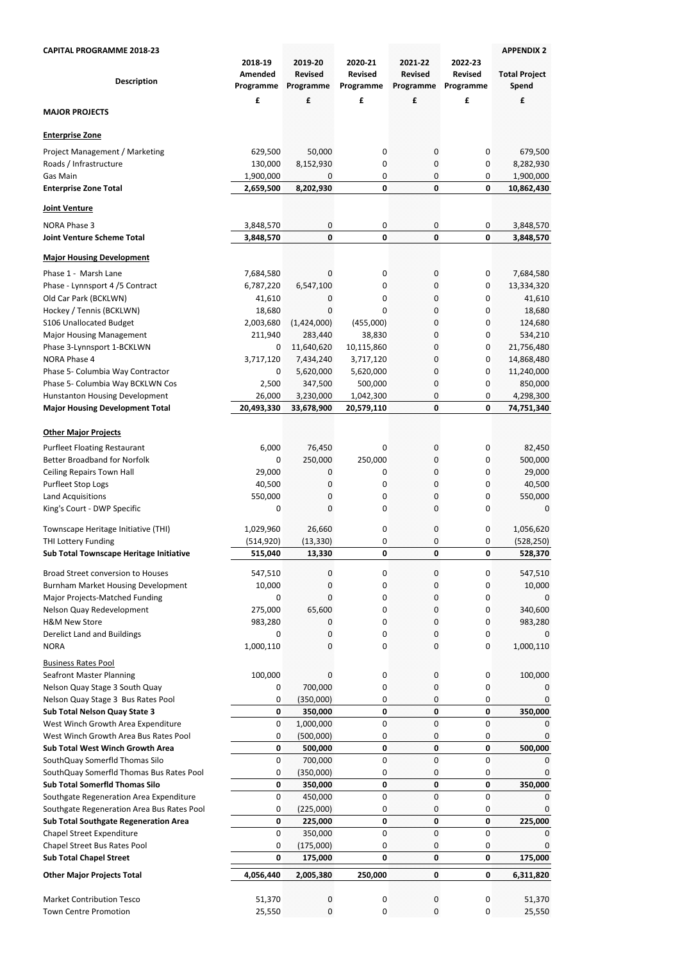| <b>CAPITAL PROGRAMME 2018-23</b>                                                 | 2018-19                     | 2019-20                     | 2020-21                     | 2021-22                     | 2022-23                     | <b>APPENDIX 2</b>             |
|----------------------------------------------------------------------------------|-----------------------------|-----------------------------|-----------------------------|-----------------------------|-----------------------------|-------------------------------|
| <b>Description</b>                                                               | <b>Amended</b><br>Programme | <b>Revised</b><br>Programme | <b>Revised</b><br>Programme | <b>Revised</b><br>Programme | <b>Revised</b><br>Programme | <b>Total Project</b><br>Spend |
| <b>MAJOR PROJECTS</b>                                                            | £                           | £                           | £                           | £                           | £                           | £                             |
| <b>Enterprise Zone</b>                                                           |                             |                             |                             |                             |                             |                               |
| Project Management / Marketing                                                   | 629,500                     | 50,000                      | 0                           | 0                           | 0                           | 679,500                       |
| Roads / Infrastructure                                                           | 130,000                     | 8,152,930                   | 0                           | 0                           | 0                           | 8,282,930                     |
| Gas Main<br><b>Enterprise Zone Total</b>                                         | 1,900,000<br>2,659,500      | 0<br>8,202,930              | 0<br>$\pmb{0}$              | 0<br>$\mathbf{0}$           | 0<br>0                      | 1,900,000<br>10,862,430       |
|                                                                                  |                             |                             |                             |                             |                             |                               |
| Joint Venture                                                                    |                             |                             |                             |                             |                             |                               |
| <b>NORA Phase 3</b><br><b>Joint Venture Scheme Total</b>                         | 3,848,570<br>3,848,570      | 0<br>$\mathbf{0}$           | 0<br>$\mathbf 0$            | 0<br>$\mathbf{0}$           | 0<br>0                      | 3,848,570<br>3,848,570        |
| <b>Major Housing Development</b>                                                 |                             |                             |                             |                             |                             |                               |
| Phase 1 - Marsh Lane                                                             | 7,684,580                   | 0                           | 0                           | 0                           | 0                           | 7,684,580                     |
| Phase - Lynnsport 4/5 Contract                                                   | 6,787,220                   | 6,547,100                   | 0                           | 0                           | 0                           | 13,334,320                    |
| Old Car Park (BCKLWN)                                                            | 41,610                      | 0                           | 0                           | 0                           | 0                           | 41,610                        |
| Hockey / Tennis (BCKLWN)                                                         | 18,680                      | 0                           | 0                           | 0                           | 0                           | 18,680                        |
| S106 Unallocated Budget                                                          | 2,003,680                   | (1,424,000)                 | (455,000)                   | 0                           | 0                           | 124,680                       |
| <b>Major Housing Management</b>                                                  | 211,940                     | 283,440                     | 38,830                      | 0                           | 0                           | 534,210                       |
| Phase 3-Lynnsport 1-BCKLWN                                                       | 0                           | 11,640,620                  | 10,115,860                  | 0                           | 0                           | 21,756,480                    |
| NORA Phase 4                                                                     | 3,717,120                   | 7,434,240                   | 3,717,120                   | 0                           | 0                           | 14,868,480                    |
| Phase 5- Columbia Way Contractor                                                 | 0                           | 5,620,000                   | 5,620,000                   | 0                           | 0                           | 11,240,000                    |
| Phase 5- Columbia Way BCKLWN Cos<br><b>Hunstanton Housing Development</b>        | 2,500<br>26,000             | 347,500<br>3,230,000        | 500,000<br>1,042,300        | 0                           | 0                           | 850,000<br>4,298,300          |
| <b>Major Housing Development Total</b>                                           | 20,493,330                  | 33,678,900                  | 20,579,110                  | 0<br>$\mathbf{0}$           | 0<br>0                      | 74,751,340                    |
| <b>Other Major Projects</b>                                                      |                             |                             |                             |                             |                             |                               |
|                                                                                  |                             |                             |                             |                             |                             |                               |
| <b>Purfleet Floating Restaurant</b><br><b>Better Broadband for Norfolk</b>       | 6,000<br>0                  | 76,450<br>250,000           | 0<br>250,000                | 0<br>0                      | 0<br>0                      | 82,450<br>500,000             |
| <b>Ceiling Repairs Town Hall</b>                                                 | 29,000                      | 0                           | 0                           | 0                           | 0                           | 29,000                        |
| Purfleet Stop Logs                                                               | 40,500                      | 0                           | 0                           | 0                           | 0                           | 40,500                        |
| <b>Land Acquisitions</b>                                                         | 550,000                     | 0                           | 0                           | 0                           | 0                           | 550,000                       |
| King's Court - DWP Specific                                                      | 0                           | $\overline{0}$              | 0                           | $\pmb{0}$                   | 0                           | $\mathbf{0}$                  |
| Townscape Heritage Initiative (THI)                                              | 1,029,960                   | 26,660                      | 0                           | $\bf{0}$                    | 0                           | 1,056,620                     |
| THI Lottery Funding                                                              | (514, 920)                  | (13, 330)                   | 0                           | 0                           | 0                           | (528, 250)                    |
| Sub Total Townscape Heritage Initiative                                          | 515,040                     | 13,330                      | $\pmb{0}$                   | $\mathbf 0$                 | 0                           | 528,370                       |
| <b>Broad Street conversion to Houses</b>                                         | 547,510                     | 0                           | 0                           | $\overline{0}$              | 0                           | 547,510                       |
| <b>Burnham Market Housing Development</b>                                        | 10,000                      | 0                           | 0                           | 0                           | 0                           | 10,000                        |
| Major Projects-Matched Funding                                                   | 0                           | $\overline{0}$              | 0                           | 0                           | 0                           | 0                             |
| Nelson Quay Redevelopment                                                        | 275,000                     | 65,600                      | 0                           | 0                           | 0                           | 340,600                       |
| <b>H&amp;M New Store</b>                                                         | 983,280                     | 0                           | 0                           | 0                           | 0                           | 983,280                       |
| <b>Derelict Land and Buildings</b>                                               | 0                           | 0                           | 0                           | 0                           | 0                           | 0                             |
| <b>NORA</b>                                                                      | 1,000,110                   | 0                           | 0                           | 0                           | 0                           | 1,000,110                     |
| <b>Business Rates Pool</b>                                                       |                             |                             |                             |                             |                             |                               |
| <b>Seafront Master Planning</b>                                                  | 100,000                     | 0<br>700,000                | 0                           | 0                           | 0                           | 100,000                       |
| Nelson Quay Stage 3 South Quay<br>Nelson Quay Stage 3 Bus Rates Pool             | 0<br>0                      | (350,000)                   | 0<br>0                      | 0<br>0                      | 0<br>0                      | 0<br>0                        |
| <b>Sub Total Nelson Quay State 3</b>                                             | $\pmb{0}$                   | 350,000                     | 0                           | $\pmb{0}$                   | 0                           | 350,000                       |
| West Winch Growth Area Expenditure                                               | 0                           | 1,000,000                   | $\pmb{0}$                   | $\overline{0}$              | $\mathbf 0$                 | 0                             |
| West Winch Growth Area Bus Rates Pool                                            | 0                           | (500,000)                   | 0                           | 0                           | 0                           | 0                             |
| <b>Sub Total West Winch Growth Area</b>                                          | 0                           | 500,000                     | 0                           | $\mathbf 0$                 | 0                           | 500,000                       |
| SouthQuay Somerfld Thomas Silo                                                   | 0                           | 700,000                     | 0                           | $\overline{0}$              | 0                           | 0                             |
| SouthQuay Somerfld Thomas Bus Rates Pool                                         | 0                           | (350,000)                   | 0                           | 0                           | $\pmb{0}$                   | 0                             |
| <b>Sub Total Somerfid Thomas Silo</b>                                            | 0                           | 350,000                     | 0                           | $\mathbf 0$                 | 0                           | 350,000                       |
| Southgate Regeneration Area Expenditure                                          | 0                           | 450,000                     | 0                           | 0                           | 0                           |                               |
| Southgate Regeneration Area Bus Rates Pool                                       | 0                           | (225,000)                   | 0                           | 0                           | 0                           | 0                             |
| <b>Sub Total Southgate Regeneration Area</b><br><b>Chapel Street Expenditure</b> | 0<br>0                      | 225,000<br>350,000          | 0<br>0                      | $\bullet$<br>$\pmb{0}$      | 0<br>$\pmb{0}$              | 225,000                       |
| Chapel Street Bus Rates Pool                                                     | 0                           | (175,000)                   | 0                           | 0                           | 0                           | 0                             |
| <b>Sub Total Chapel Street</b>                                                   | 0                           | 175,000                     | 0                           | $\pmb{0}$                   | 0                           | 175,000                       |
| <b>Other Major Projects Total</b>                                                | 4,056,440                   | 2,005,380                   | 250,000                     | $\mathbf 0$                 | 0                           | 6,311,820                     |
|                                                                                  |                             |                             |                             |                             |                             |                               |
| <b>Market Contribution Tesco</b><br><b>Town Centre Promotion</b>                 | 51,370<br>25,550            | 0<br>$\pmb{0}$              | 0<br>0                      | 0<br>$\pmb{0}$              | 0<br>0                      | 51,370<br>25,550              |
|                                                                                  |                             |                             |                             |                             |                             |                               |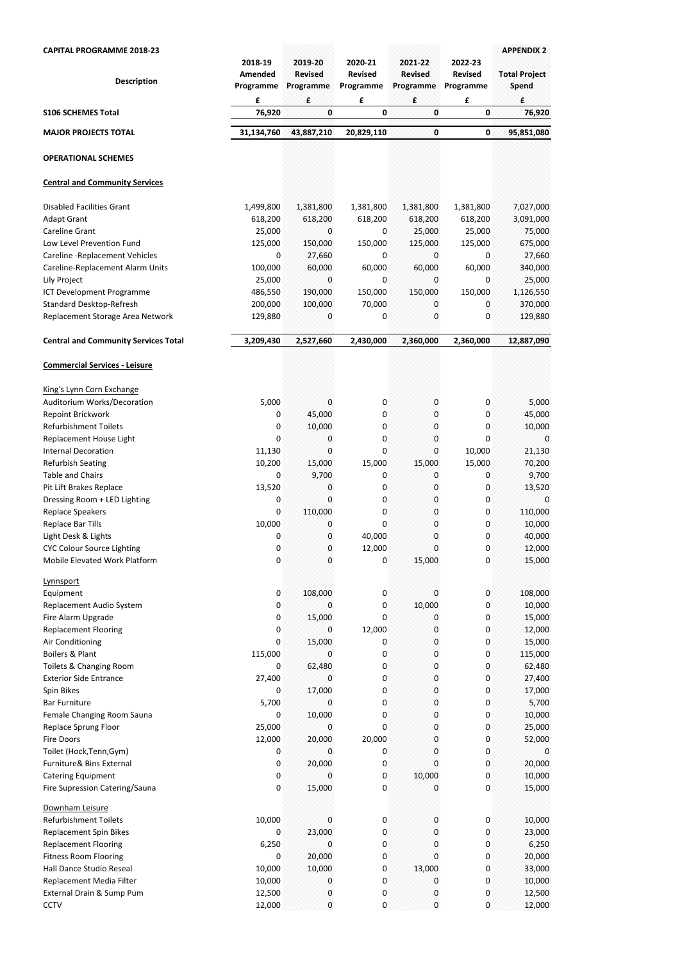| <b>CAPITAL PROGRAMME 2018-23</b>            | 2018-19                   | 2019-20                          | 2020-21                          | 2021-22                          | 2022-23                          | <b>APPENDIX 2</b>                  |
|---------------------------------------------|---------------------------|----------------------------------|----------------------------------|----------------------------------|----------------------------------|------------------------------------|
| <b>Description</b>                          | Amended<br>Programme<br>£ | <b>Revised</b><br>Programme<br>£ | <b>Revised</b><br>Programme<br>£ | <b>Revised</b><br>Programme<br>£ | <b>Revised</b><br>Programme<br>£ | <b>Total Project</b><br>Spend<br>£ |
| <b>S106 SCHEMES Total</b>                   | 76,920                    | $\bf{0}$                         | 0                                | 0                                | 0                                | 76,920                             |
| <b>MAJOR PROJECTS TOTAL</b>                 | 31,134,760                | 43,887,210                       | 20,829,110                       | 0                                | 0                                | 95,851,080                         |
| <b>OPERATIONAL SCHEMES</b>                  |                           |                                  |                                  |                                  |                                  |                                    |
| <b>Central and Community Services</b>       |                           |                                  |                                  |                                  |                                  |                                    |
| <b>Disabled Facilities Grant</b>            | 1,499,800                 | 1,381,800                        | 1,381,800                        | 1,381,800                        | 1,381,800                        | 7,027,000                          |
| <b>Adapt Grant</b>                          | 618,200                   | 618,200                          | 618,200                          | 618,200                          | 618,200                          | 3,091,000                          |
| <b>Careline Grant</b>                       | 25,000                    | 0                                | 0                                | 25,000                           | 25,000                           | 75,000                             |
| Low Level Prevention Fund                   | 125,000                   | 150,000                          | 150,000                          | 125,000                          | 125,000                          | 675,000                            |
| Careline - Replacement Vehicles             | 0                         | 27,660                           | 0                                | 0                                | 0                                | 27,660                             |
| Careline-Replacement Alarm Units            | 100,000                   | 60,000                           | 60,000                           | 60,000                           | 60,000                           | 340,000                            |
| Lily Project                                | 25,000                    | 0                                | 0                                | 0                                | 0                                | 25,000                             |
| ICT Development Programme                   | 486,550                   | 190,000                          | 150,000                          | 150,000                          | 150,000                          | 1,126,550                          |
| Standard Desktop-Refresh                    | 200,000                   | 100,000                          | 70,000                           | 0                                | 0                                | 370,000                            |
| Replacement Storage Area Network            | 129,880                   | 0                                | 0                                | 0                                | 0                                | 129,880                            |
| <b>Central and Community Services Total</b> | 3,209,430                 | 2,527,660                        | 2,430,000                        | 2,360,000                        | 2,360,000                        | 12,887,090                         |
| <b>Commercial Services - Leisure</b>        |                           |                                  |                                  |                                  |                                  |                                    |
| King's Lynn Corn Exchange                   |                           |                                  |                                  |                                  |                                  |                                    |
| Auditorium Works/Decoration                 | 5,000                     | 0                                | 0                                |                                  | 0                                | 5,000                              |
| Repoint Brickwork                           | 0                         | 45,000                           | 0                                | 0                                | 0                                | 45,000                             |
| <b>Refurbishment Toilets</b>                | 0                         | 10,000                           | 0                                | 0                                | 0                                | 10,000                             |
| Replacement House Light                     | 0                         | 0                                | 0                                | 0                                | 0                                | 0                                  |
| <b>Internal Decoration</b>                  | 11,130                    | 0                                | 0                                | 0                                | 10,000                           | 21,130                             |
| <b>Refurbish Seating</b>                    | 10,200                    | 15,000                           | 15,000                           | 15,000                           | 15,000                           | 70,200                             |
| <b>Table and Chairs</b>                     | 0                         | 9,700                            | 0                                | 0                                | 0                                | 9,700                              |
| Pit Lift Brakes Replace                     | 13,520                    | 0                                | 0                                | 0                                | 0                                | 13,520                             |
| Dressing Room + LED Lighting                | 0                         | 0                                | 0                                | 0                                | 0                                | 0                                  |
| <b>Replace Speakers</b>                     | 0                         | 110,000                          | 0                                | 0                                | 0                                | 110,000                            |
| <b>Replace Bar Tills</b>                    | 10,000                    | 0                                | 0                                | 0                                | 0                                | 10,000                             |
| Light Desk & Lights                         | 0                         | 0                                | 40,000                           | 0                                | 0                                | 40,000                             |
| <b>CYC Colour Source Lighting</b>           | 0                         | $\boldsymbol{0}$                 | 12,000                           | 0                                | 0                                | 12,000                             |
| Mobile Elevated Work Platform               | 0                         | 0                                | 0                                | 15,000                           | 0                                | 15,000                             |
| Lynnsport                                   |                           |                                  |                                  |                                  |                                  |                                    |
| Equipment                                   | 0                         | 108,000                          | 0                                | 0                                | 0                                | 108,000                            |
| Replacement Audio System                    | 0                         | 0                                | 0                                | 10,000                           | 0                                | 10,000                             |
| Fire Alarm Upgrade                          | 0                         | 15,000                           | 0                                | 0                                | 0                                | 15,000                             |
| <b>Replacement Flooring</b>                 | 0                         | 0                                | 12,000                           | 0                                | 0                                | 12,000                             |
| Air Conditioning                            | 0                         | 15,000                           | 0                                | 0                                | 0                                | 15,000                             |
| Boilers & Plant                             | 115,000                   | 0                                | 0                                | 0                                | 0                                | 115,000                            |
| Toilets & Changing Room                     | 0                         | 62,480                           | 0                                | 0                                | 0                                | 62,480                             |
| <b>Exterior Side Entrance</b>               | 27,400                    | 0                                | 0                                | 0                                | 0                                | 27,400                             |
| Spin Bikes                                  | 0                         | 17,000                           | 0                                | 0                                | 0                                | 17,000                             |
| <b>Bar Furniture</b>                        | 5,700                     | 0                                | 0                                | 0                                | 0                                | 5,700                              |
| Female Changing Room Sauna                  | 0                         | 10,000                           | 0                                | 0                                | 0                                | 10,000                             |

Replace Sprung Floor  $0 \rightarrow 25,000 \rightarrow 0$   $0 \rightarrow 0$   $0 \rightarrow 25,000$ Fire Doors 12,000 20,000 20,000 0 0 52,000 Toilet (Hock,Tenn,Gym) 0 0 0 0 0 0 Furniture& Bins External 0 20,000 0 0 0 20,000 Catering Equipment 10,000 0 0 10,000 0 10,000 0 10,000 0 10,000 0 10,000 0 10,000 0 10,000 0 10,000 0 10,000 0 10

Downham Leisure Refurbishment Toilets 10,000 0 0 0 0 0 0 0 0 10,000 0 0 10,000 10,000 0 0 10,000 0 0 10,000 0 0 10,000 0 0 10 Replacement Spin Bikes 23,000 0 23,000 0 0 0 0 0 0 0 0 0 0 0 23,000 Replacement Flooring 6,250 0 0 0 0 6,250 0 0 0 6,250 6,250 Fitness Room Flooring 0 20,000 0 0 0 20,000 Hall Dance Studio Reseal 23,000 10,000 10,000 10,000 13,000 0 13,000 13,000 0 33,000 Replacement Media Filter 10,000 0 0 0 0 0 10,000 0 0 10,000 10,000 0 10,000 10,000 0 0 10,000 10,000 0 10,000 10 External Drain & Sump Pum **12,500** 0 0 0 0 0 12,500 0 0 12,500 0 12,500 0 12,500 0 12,500 0 12,500 0 12,500 0 12,500 0 12,500 0 12,500 0 12,500 0 12,500 0 12,500 0 12,500 0 12,500 0 12,500 0 12,500 0 12,500 0 12,500 0 12,5





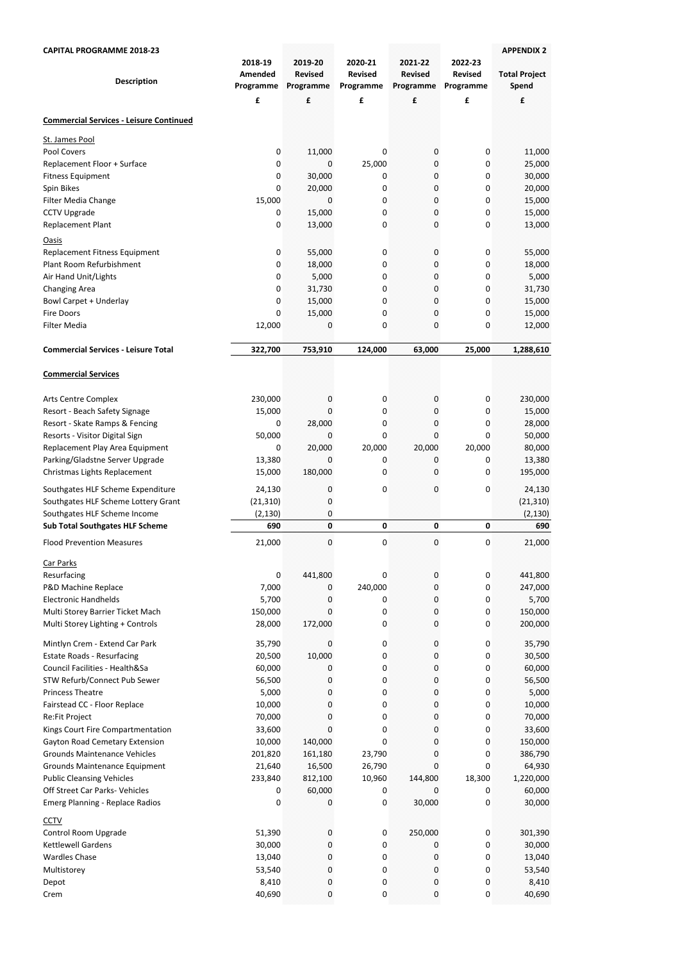| <b>CAPITAL PROGRAMME 2018-23</b>                                    |                                 |                                        |                                        |                                        |                                        | <b>APPENDIX 2</b>             |
|---------------------------------------------------------------------|---------------------------------|----------------------------------------|----------------------------------------|----------------------------------------|----------------------------------------|-------------------------------|
| <b>Description</b>                                                  | 2018-19<br>Amended<br>Programme | 2019-20<br><b>Revised</b><br>Programme | 2020-21<br><b>Revised</b><br>Programme | 2021-22<br><b>Revised</b><br>Programme | 2022-23<br><b>Revised</b><br>Programme | <b>Total Project</b><br>Spend |
|                                                                     | £                               | £                                      | £                                      | $\mathbf f$                            | £                                      | £                             |
| <b>Commercial Services - Leisure Continued</b>                      |                                 |                                        |                                        |                                        |                                        |                               |
| St. James Pool                                                      |                                 |                                        |                                        |                                        |                                        |                               |
| Pool Covers                                                         | 0                               | 11,000                                 | 0                                      | 0                                      | 0                                      | 11,000                        |
| Replacement Floor + Surface                                         | 0                               | 0                                      | 25,000                                 | 0                                      | 0                                      | 25,000                        |
| <b>Fitness Equipment</b>                                            | 0                               | 30,000                                 | 0                                      | 0                                      | 0                                      | 30,000                        |
| Spin Bikes                                                          | 0                               | 20,000                                 | 0                                      | 0                                      | 0                                      | 20,000                        |
| Filter Media Change<br><b>CCTV Upgrade</b>                          | 15,000<br>0                     | 0<br>15,000                            | 0<br>0                                 | 0<br>0                                 | 0<br>0                                 | 15,000<br>15,000              |
| Replacement Plant                                                   | 0                               | 13,000                                 | 0                                      | 0                                      | 0                                      | 13,000                        |
| <b>Oasis</b>                                                        |                                 |                                        |                                        |                                        |                                        |                               |
| Replacement Fitness Equipment                                       | 0                               | 55,000                                 | 0                                      | 0                                      | 0                                      | 55,000                        |
| Plant Room Refurbishment                                            | 0                               | 18,000                                 | 0                                      | 0                                      | 0                                      | 18,000                        |
| Air Hand Unit/Lights                                                | 0                               | 5,000                                  | 0                                      | 0                                      | 0                                      | 5,000                         |
| <b>Changing Area</b>                                                | 0                               | 31,730                                 | 0                                      | 0                                      | 0                                      | 31,730                        |
| <b>Bowl Carpet + Underlay</b>                                       | 0                               | 15,000                                 | 0                                      | 0                                      | 0                                      | 15,000                        |
| <b>Fire Doors</b>                                                   | 0                               | 15,000                                 | 0                                      | 0                                      | 0                                      | 15,000                        |
| <b>Filter Media</b>                                                 | 12,000                          | 0                                      | 0                                      | 0                                      | 0                                      | 12,000                        |
| <b>Commercial Services - Leisure Total</b>                          | 322,700                         | 753,910                                | 124,000                                | 63,000                                 | 25,000                                 | 1,288,610                     |
| <b>Commercial Services</b>                                          |                                 |                                        |                                        |                                        |                                        |                               |
| <b>Arts Centre Complex</b>                                          | 230,000                         | $\mathbf{0}$                           | 0                                      | $\mathbf 0$                            | 0                                      | 230,000                       |
| Resort - Beach Safety Signage                                       | 15,000                          | 0                                      | 0                                      | 0                                      | 0                                      | 15,000                        |
| Resort - Skate Ramps & Fencing                                      | 0                               | 28,000                                 | 0                                      | 0                                      | 0                                      | 28,000                        |
| Resorts - Visitor Digital Sign                                      | 50,000                          | 0                                      | 0                                      | 0                                      | 0                                      | 50,000                        |
| Replacement Play Area Equipment                                     | 0                               | 20,000                                 | 20,000                                 | 20,000                                 | 20,000                                 | 80,000                        |
| Parking/Gladstne Server Upgrade                                     | 13,380                          | 0                                      | 0                                      | 0                                      | 0                                      | 13,380                        |
| Christmas Lights Replacement                                        | 15,000                          | 180,000                                | 0                                      | 0                                      | 0                                      | 195,000                       |
| Southgates HLF Scheme Expenditure                                   | 24,130                          | 0                                      | 0                                      | 0                                      | 0                                      | 24,130                        |
| Southgates HLF Scheme Lottery Grant                                 | (21, 310)                       | 0                                      |                                        |                                        |                                        | (21, 310)                     |
| Southgates HLF Scheme Income                                        | (2, 130)                        | 0                                      |                                        |                                        |                                        | (2, 130)                      |
| <b>Sub Total Southgates HLF Scheme</b>                              | 690                             | $\mathbf{0}$                           | 0                                      | $\mathbf{0}$                           | 0                                      | 690                           |
| <b>Flood Prevention Measures</b>                                    | 21,000                          | $\mathbf{0}$                           | 0                                      | $\mathbf 0$                            | 0                                      | 21,000                        |
| <b>Car Parks</b>                                                    |                                 |                                        |                                        |                                        |                                        |                               |
| Resurfacing<br>P&D Machine Replace                                  | 0<br>7,000                      | 441,800<br>0                           | 0<br>240,000                           | 0<br>0                                 | 0<br>0                                 | 441,800<br>247,000            |
| <b>Electronic Handhelds</b>                                         | 5,700                           | O                                      | 0                                      | 0                                      | 0                                      | 5,700                         |
| Multi Storey Barrier Ticket Mach                                    | 150,000                         | 0                                      | 0                                      | 0                                      | 0                                      | 150,000                       |
| Multi Storey Lighting + Controls                                    | 28,000                          | 172,000                                | 0                                      | 0                                      | 0                                      | 200,000                       |
|                                                                     |                                 |                                        |                                        |                                        |                                        |                               |
| Mintlyn Crem - Extend Car Park<br><b>Estate Roads - Resurfacing</b> | 35,790<br>20,500                | 0<br>10,000                            | 0<br>0                                 | 0<br>0                                 | 0<br>0                                 | 35,790<br>30,500              |
| Council Facilities - Health&Sa                                      | 60,000                          | 0                                      | 0                                      | 0                                      | 0                                      | 60,000                        |
| STW Refurb/Connect Pub Sewer                                        | 56,500                          | 0                                      | 0                                      | 0                                      | 0                                      | 56,500                        |
| <b>Princess Theatre</b>                                             | 5,000                           | 0                                      | 0                                      | 0                                      | 0                                      | 5,000                         |
| Fairstead CC - Floor Replace                                        | 10,000                          | 0                                      | 0                                      | 0                                      | 0                                      | 10,000                        |
| Re:Fit Project                                                      | 70,000                          | 0                                      | 0                                      | 0                                      | 0                                      | 70,000                        |
| Kings Court Fire Compartmentation                                   | 33,600                          | 0                                      | 0                                      | 0                                      | 0                                      | 33,600                        |
| <b>Gayton Road Cemetary Extension</b>                               | 10,000                          | 140,000                                | 0                                      | 0                                      | 0                                      | 150,000                       |
| <b>Grounds Maintenance Vehicles</b>                                 | 201,820                         | 161,180                                | 23,790                                 | 0                                      | 0                                      | 386,790                       |
| Grounds Maintenance Equipment<br><b>Public Cleansing Vehicles</b>   | 21,640<br>233,840               | 16,500<br>812,100                      | 26,790<br>10,960                       | 0<br>144,800                           | 0<br>18,300                            | 64,930<br>1,220,000           |
| Off Street Car Parks- Vehicles                                      | 0                               | 60,000                                 | 0                                      | 0                                      | 0                                      | 60,000                        |
| <b>Emerg Planning - Replace Radios</b>                              | 0                               | 0                                      | 0                                      | 30,000                                 | 0                                      | 30,000                        |
| <b>CCTV</b>                                                         |                                 |                                        |                                        |                                        |                                        |                               |
| Control Room Upgrade                                                | 51,390                          | $\mathbf{0}$                           | 0                                      | 250,000                                | 0                                      | 301,390                       |
| Kettlewell Gardens                                                  | 30,000                          | 0                                      | 0                                      | $\bf{0}$                               | 0                                      | 30,000                        |
| <b>Wardles Chase</b>                                                | 13,040                          | 0                                      | 0                                      | 0                                      | 0                                      | 13,040                        |
| Multistorey                                                         | 53,540                          | 0                                      | 0                                      | 0                                      | 0                                      | 53,540                        |
| Depot                                                               | 8,410                           | 0                                      | 0                                      | 0                                      | 0                                      | 8,410                         |
| Crem                                                                | 40,690                          | $\mathbf 0$                            | 0                                      | 0                                      | 0                                      | 40,690                        |